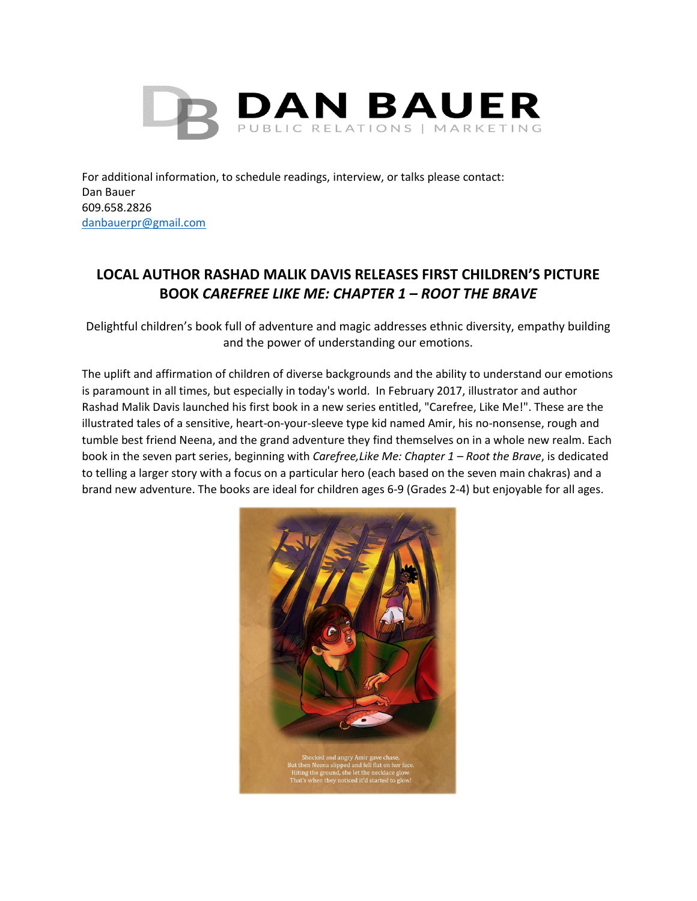

For additional information, to schedule readings, interview, or talks please contact: Dan Bauer 609.658.2826 [danbauerpr@gmail.com](mailto:danbauerpr@gmail.com)

## **LOCAL AUTHOR RASHAD MALIK DAVIS RELEASES FIRST CHILDREN'S PICTURE BOOK** *CAREFREE LIKE ME: CHAPTER 1 – ROOT THE BRAVE*

Delightful children's book full of adventure and magic addresses ethnic diversity, empathy building and the power of understanding our emotions.

The uplift and affirmation of children of diverse backgrounds and the ability to understand our emotions is paramount in all times, but especially in today's world. In February 2017, illustrator and author Rashad Malik Davis launched his first book in a new series entitled, "Carefree, Like Me!". These are the illustrated tales of a sensitive, heart-on-your-sleeve type kid named Amir, his no-nonsense, rough and tumble best friend Neena, and the grand adventure they find themselves on in a whole new realm. Each book in the seven part series, beginning with *Carefree,Like Me: Chapter 1 – Root the Brave*, is dedicated to telling a larger story with a focus on a particular hero (each based on the seven main chakras) and a brand new adventure. The books are ideal for children ages 6-9 (Grades 2-4) but enjoyable for all ages.

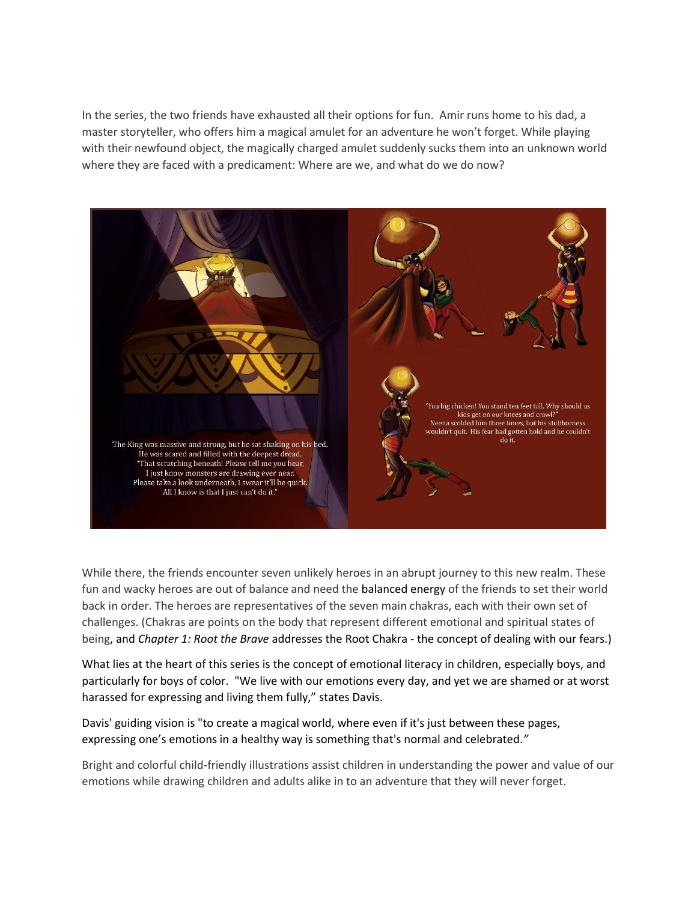In the series, the two friends have exhausted all their options for fun. Amir runs home to his dad, a master storyteller, who offers him a magical amulet for an adventure he won't forget. While playing with their newfound object, the magically charged amulet suddenly sucks them into an unknown world where they are faced with a predicament: Where are we, and what do we do now?



While there, the friends encounter seven unlikely heroes in an abrupt journey to this new realm. These fun and wacky heroes are out of balance and need the balanced energy of the friends to set their world back in order. The heroes are representatives of the seven main chakras, each with their own set of challenges. (Chakras are points on the body that represent different emotional and spiritual states of being, and *Chapter 1: Root the Brave* addresses the Root Chakra - the concept of dealing with our fears.)

What lies at the heart of this series is the concept of emotional literacy in children, especially boys, and particularly for boys of color. "We live with our emotions every day, and yet we are shamed or at worst harassed for expressing and living them fully," states Davis.

Davis' guiding vision is "to create a magical world, where even if it's just between these pages, expressing one's emotions in a healthy way is something that's normal and celebrated.*"*

Bright and colorful child-friendly illustrations assist children in understanding the power and value of our emotions while drawing children and adults alike in to an adventure that they will never forget.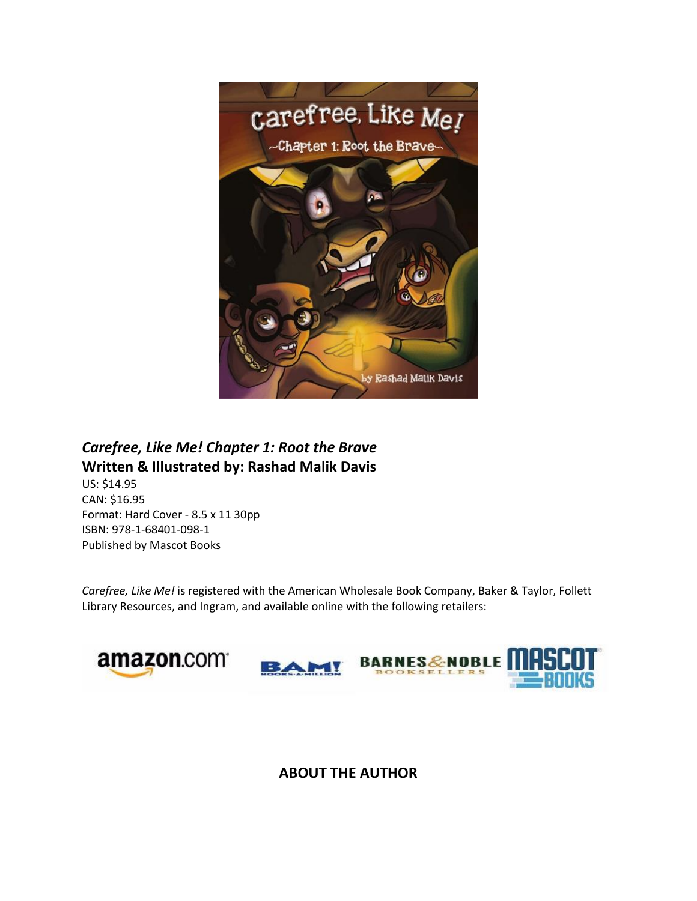

## *Carefree, Like Me! Chapter 1: Root the Brave* **Written & Illustrated by: Rashad Malik Davis**

US: \$14.95 CAN: \$16.95 Format: Hard Cover - 8.5 x 11 30pp ISBN: 978-1-68401-098-1 Published by Mascot Books

*Carefree, Like Me!* is registered with the American Wholesale Book Company, Baker & Taylor, Follett Library Resources, and Ingram, and available online with the following retailers:



## **ABOUT THE AUTHOR**